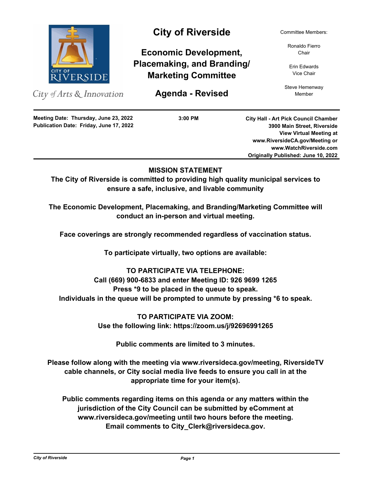

City of Arts & Innovation

City of Riverside Committee Members:

**Economic Development, Placemaking, and Branding/ Marketing Committee**

**Agenda - Revised** Member

Ronaldo Fierro Chair

Erin Edwards Vice Chair

Steve Hemenway

**Publication Date: Friday, June 17, 2022 Meeting Date: Thursday, June 23, 2022**

**3:00 PM**

**City Hall - Art Pick Council Chamber 3900 Main Street, Riverside View Virtual Meeting at www.RiversideCA.gov/Meeting or www.WatchRiverside.com Originally Published: June 10, 2022**

# **MISSION STATEMENT**

**The City of Riverside is committed to providing high quality municipal services to ensure a safe, inclusive, and livable community**

**The Economic Development, Placemaking, and Branding/Marketing Committee will conduct an in-person and virtual meeting.** 

**Face coverings are strongly recommended regardless of vaccination status.**

**To participate virtually, two options are available:**

# **TO PARTICIPATE VIA TELEPHONE:**

**Call (669) 900-6833 and enter Meeting ID: 926 9699 1265 Press \*9 to be placed in the queue to speak. Individuals in the queue will be prompted to unmute by pressing \*6 to speak.**

> **TO PARTICIPATE VIA ZOOM: Use the following link: https://zoom.us/j/92696991265**

**Public comments are limited to 3 minutes.**

**Please follow along with the meeting via www.riversideca.gov/meeting, RiversideTV cable channels, or City social media live feeds to ensure you call in at the appropriate time for your item(s).**

**Public comments regarding items on this agenda or any matters within the jurisdiction of the City Council can be submitted by eComment at www.riversideca.gov/meeting until two hours before the meeting. Email comments to City\_Clerk@riversideca.gov.**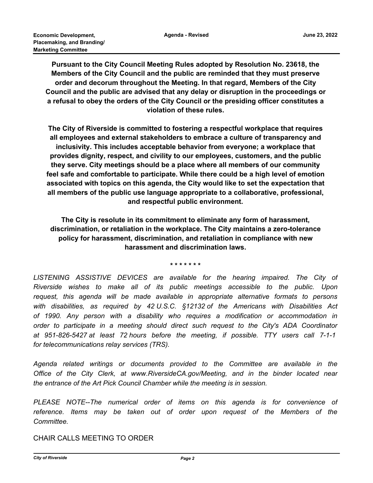**Pursuant to the City Council Meeting Rules adopted by Resolution No. 23618, the Members of the City Council and the public are reminded that they must preserve order and decorum throughout the Meeting. In that regard, Members of the City Council and the public are advised that any delay or disruption in the proceedings or a refusal to obey the orders of the City Council or the presiding officer constitutes a violation of these rules.**

**The City of Riverside is committed to fostering a respectful workplace that requires all employees and external stakeholders to embrace a culture of transparency and inclusivity. This includes acceptable behavior from everyone; a workplace that provides dignity, respect, and civility to our employees, customers, and the public they serve. City meetings should be a place where all members of our community feel safe and comfortable to participate. While there could be a high level of emotion associated with topics on this agenda, the City would like to set the expectation that all members of the public use language appropriate to a collaborative, professional, and respectful public environment.**

**The City is resolute in its commitment to eliminate any form of harassment, discrimination, or retaliation in the workplace. The City maintains a zero-tolerance policy for harassment, discrimination, and retaliation in compliance with new harassment and discrimination laws.**

**\* \* \* \* \* \* \***

LISTENING ASSISTIVE DEVICES are available for the hearing impaired. The City of *Riverside wishes to make all of its public meetings accessible to the public. Upon request, this agenda will be made available in appropriate alternative formats to persons with disabilities, as required by 42 U.S.C. §12132 of the Americans with Disabilities Act of 1990. Any person with a disability who requires a modification or accommodation in order to participate in a meeting should direct such request to the City's ADA Coordinator at 951-826-5427 at least 72 hours before the meeting, if possible. TTY users call 7-1-1 for telecommunications relay services (TRS).*

*Agenda related writings or documents provided to the Committee are available in the Office of the City Clerk, at www.RiversideCA.gov/Meeting, and in the binder located near the entrance of the Art Pick Council Chamber while the meeting is in session.*

*PLEASE NOTE--The numerical order of items on this agenda is for convenience of reference. Items may be taken out of order upon request of the Members of the Committee.*

CHAIR CALLS MEETING TO ORDER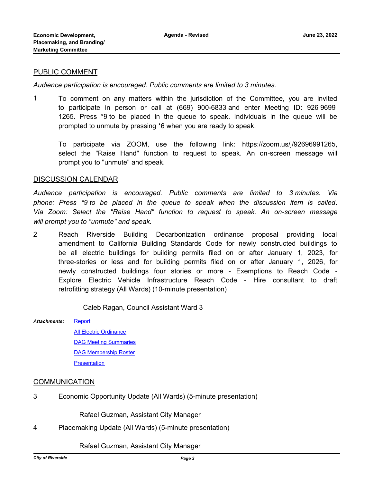### PUBLIC COMMENT

*Audience participation is encouraged. Public comments are limited to 3 minutes.*

1 To comment on any matters within the jurisdiction of the Committee, you are invited to participate in person or call at (669) 900-6833 and enter Meeting ID: 926 9699 1265. Press \*9 to be placed in the queue to speak. Individuals in the queue will be prompted to unmute by pressing \*6 when you are ready to speak.

To participate via ZOOM, use the following link: https://zoom.us/j/92696991265, select the "Raise Hand" function to request to speak. An on-screen message will prompt you to "unmute" and speak.

#### DISCUSSION CALENDAR

*Audience participation is encouraged. Public comments are limited to 3 minutes. Via phone: Press \*9 to be placed in the queue to speak when the discussion item is called. Via Zoom: Select the "Raise Hand" function to request to speak. An on-screen message will prompt you to "unmute" and speak.*

2 Reach Riverside Building Decarbonization ordinance proposal providing local amendment to California Building Standards Code for newly constructed buildings to be all electric buildings for building permits filed on or after January 1, 2023, for three-stories or less and for building permits filed on or after January 1, 2026, for newly constructed buildings four stories or more - Exemptions to Reach Code - Explore Electric Vehicle Infrastructure Reach Code - Hire consultant to draft retrofitting strategy (All Wards) (10-minute presentation)

Caleb Ragan, Council Assistant Ward 3

#### [Report](http://riversideca.legistar.com/gateway.aspx?M=F&ID=2069b934-fe77-4dde-8194-44f357028b1f.pdf) *Attachments:*

[All Electric Ordinance](http://riversideca.legistar.com/gateway.aspx?M=F&ID=584f13f8-f4c1-41d6-be7b-980b00e3008b.pdf) [DAG Meeting Summaries](http://riversideca.legistar.com/gateway.aspx?M=F&ID=1591828f-3a35-493d-b2ea-f19035ab3159.pdf) [DAG Membership Roster](http://riversideca.legistar.com/gateway.aspx?M=F&ID=2469792e-29c5-43e5-a607-85a7dcdba2e1.pdf) [Presentation](http://riversideca.legistar.com/gateway.aspx?M=F&ID=9160a846-b0b9-49b5-8544-b6a663aaf784.pdf)

## **COMMUNICATION**

3 Economic Opportunity Update (All Wards) (5-minute presentation)

Rafael Guzman, Assistant City Manager

4 Placemaking Update (All Wards) (5-minute presentation)

Rafael Guzman, Assistant City Manager